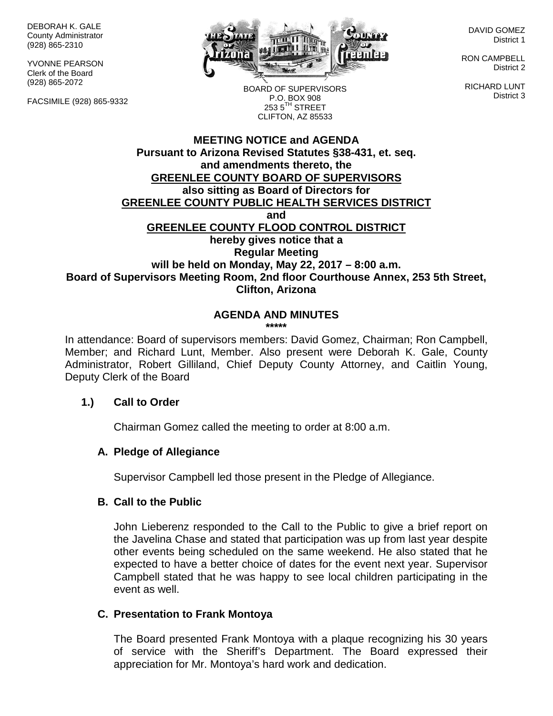DEBORAH K. GALE County Administrator (928) 865-2310

YVONNE PEARSON Clerk of the Board (928) 865-2072

FACSIMILE (928) 865-9332



DAVID GOMEZ District 1

RON CAMPBELL District 2

RICHARD LUNT District 3

BOARD OF SUPERVISORS P.O. BOX 908  $253.5$ <sup>TH</sup> STREET CLIFTON, AZ 85533

# **MEETING NOTICE and AGENDA Pursuant to Arizona Revised Statutes §38-431, et. seq. and amendments thereto, the GREENLEE COUNTY BOARD OF SUPERVISORS also sitting as Board of Directors for GREENLEE COUNTY PUBLIC HEALTH SERVICES DISTRICT and GREENLEE COUNTY FLOOD CONTROL DISTRICT hereby gives notice that a Regular Meeting will be held on Monday, May 22, 2017 – 8:00 a.m. Board of Supervisors Meeting Room, 2nd floor Courthouse Annex, 253 5th Street, Clifton, Arizona**

# **AGENDA AND MINUTES**

**\*\*\*\*\***

In attendance: Board of supervisors members: David Gomez, Chairman; Ron Campbell, Member; and Richard Lunt, Member. Also present were Deborah K. Gale, County Administrator, Robert Gilliland, Chief Deputy County Attorney, and Caitlin Young, Deputy Clerk of the Board

#### **1.) Call to Order**

Chairman Gomez called the meeting to order at 8:00 a.m.

# **A. Pledge of Allegiance**

Supervisor Campbell led those present in the Pledge of Allegiance.

#### **B. Call to the Public**

John Lieberenz responded to the Call to the Public to give a brief report on the Javelina Chase and stated that participation was up from last year despite other events being scheduled on the same weekend. He also stated that he expected to have a better choice of dates for the event next year. Supervisor Campbell stated that he was happy to see local children participating in the event as well.

# **C. Presentation to Frank Montoya**

The Board presented Frank Montoya with a plaque recognizing his 30 years of service with the Sheriff's Department. The Board expressed their appreciation for Mr. Montoya's hard work and dedication.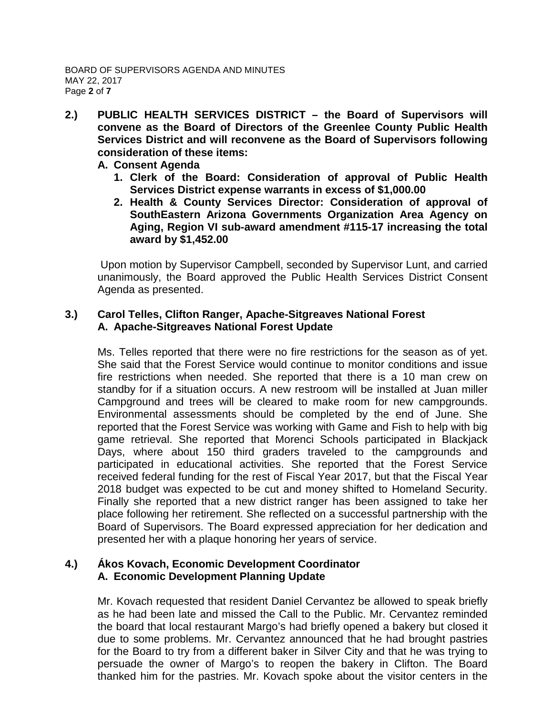- **2.) PUBLIC HEALTH SERVICES DISTRICT – the Board of Supervisors will convene as the Board of Directors of the Greenlee County Public Health Services District and will reconvene as the Board of Supervisors following consideration of these items:**
	- **A. Consent Agenda**
		- **1. Clerk of the Board: Consideration of approval of Public Health Services District expense warrants in excess of \$1,000.00**
		- **2. Health & County Services Director: Consideration of approval of SouthEastern Arizona Governments Organization Area Agency on Aging, Region VI sub-award amendment #115-17 increasing the total award by \$1,452.00**

Upon motion by Supervisor Campbell, seconded by Supervisor Lunt, and carried unanimously, the Board approved the Public Health Services District Consent Agenda as presented.

# **3.) Carol Telles, Clifton Ranger, Apache-Sitgreaves National Forest A. Apache-Sitgreaves National Forest Update**

Ms. Telles reported that there were no fire restrictions for the season as of yet. She said that the Forest Service would continue to monitor conditions and issue fire restrictions when needed. She reported that there is a 10 man crew on standby for if a situation occurs. A new restroom will be installed at Juan miller Campground and trees will be cleared to make room for new campgrounds. Environmental assessments should be completed by the end of June. She reported that the Forest Service was working with Game and Fish to help with big game retrieval. She reported that Morenci Schools participated in Blackjack Days, where about 150 third graders traveled to the campgrounds and participated in educational activities. She reported that the Forest Service received federal funding for the rest of Fiscal Year 2017, but that the Fiscal Year 2018 budget was expected to be cut and money shifted to Homeland Security. Finally she reported that a new district ranger has been assigned to take her place following her retirement. She reflected on a successful partnership with the Board of Supervisors. The Board expressed appreciation for her dedication and presented her with a plaque honoring her years of service.

# **4.) Ákos Kovach, Economic Development Coordinator A. Economic Development Planning Update**

Mr. Kovach requested that resident Daniel Cervantez be allowed to speak briefly as he had been late and missed the Call to the Public. Mr. Cervantez reminded the board that local restaurant Margo's had briefly opened a bakery but closed it due to some problems. Mr. Cervantez announced that he had brought pastries for the Board to try from a different baker in Silver City and that he was trying to persuade the owner of Margo's to reopen the bakery in Clifton. The Board thanked him for the pastries. Mr. Kovach spoke about the visitor centers in the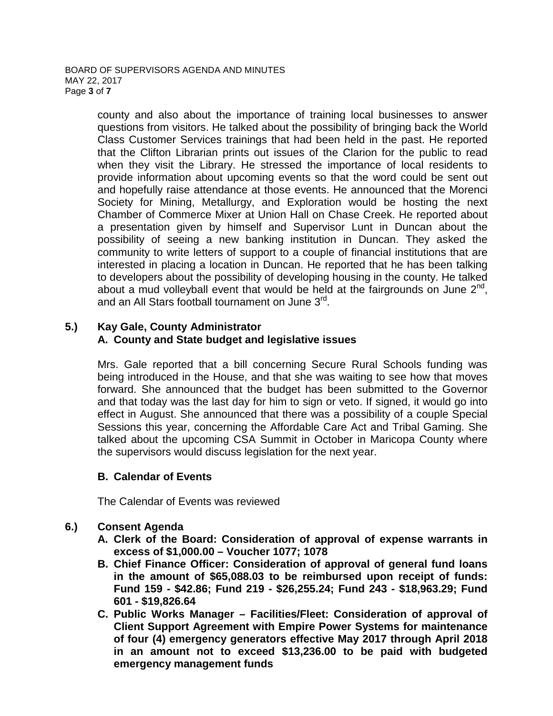county and also about the importance of training local businesses to answer questions from visitors. He talked about the possibility of bringing back the World Class Customer Services trainings that had been held in the past. He reported that the Clifton Librarian prints out issues of the Clarion for the public to read when they visit the Library. He stressed the importance of local residents to provide information about upcoming events so that the word could be sent out and hopefully raise attendance at those events. He announced that the Morenci Society for Mining, Metallurgy, and Exploration would be hosting the next Chamber of Commerce Mixer at Union Hall on Chase Creek. He reported about a presentation given by himself and Supervisor Lunt in Duncan about the possibility of seeing a new banking institution in Duncan. They asked the community to write letters of support to a couple of financial institutions that are interested in placing a location in Duncan. He reported that he has been talking to developers about the possibility of developing housing in the county. He talked about a mud volleyball event that would be held at the fairgrounds on June  $2^{nd}$ , and an All Stars football tournament on June 3<sup>rd</sup>.

# **5.) Kay Gale, County Administrator A. County and State budget and legislative issues**

Mrs. Gale reported that a bill concerning Secure Rural Schools funding was being introduced in the House, and that she was waiting to see how that moves forward. She announced that the budget has been submitted to the Governor and that today was the last day for him to sign or veto. If signed, it would go into effect in August. She announced that there was a possibility of a couple Special Sessions this year, concerning the Affordable Care Act and Tribal Gaming. She talked about the upcoming CSA Summit in October in Maricopa County where the supervisors would discuss legislation for the next year.

# **B. Calendar of Events**

The Calendar of Events was reviewed

# **6.) Consent Agenda**

- **A. Clerk of the Board: Consideration of approval of expense warrants in excess of \$1,000.00 – Voucher 1077; 1078**
- **B. Chief Finance Officer: Consideration of approval of general fund loans in the amount of \$65,088.03 to be reimbursed upon receipt of funds: Fund 159 - \$42.86; Fund 219 - \$26,255.24; Fund 243 - \$18,963.29; Fund 601 - \$19,826.64**
- **C. Public Works Manager – Facilities/Fleet: Consideration of approval of Client Support Agreement with Empire Power Systems for maintenance of four (4) emergency generators effective May 2017 through April 2018 in an amount not to exceed \$13,236.00 to be paid with budgeted emergency management funds**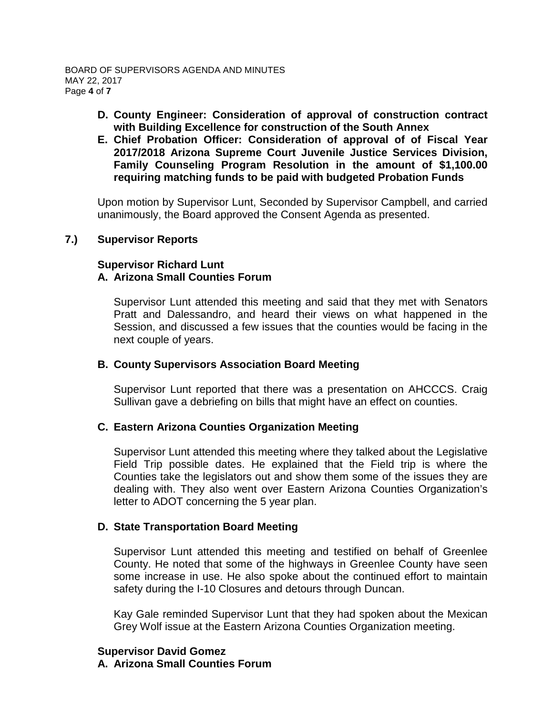- **D. County Engineer: Consideration of approval of construction contract with Building Excellence for construction of the South Annex**
- **E. Chief Probation Officer: Consideration of approval of of Fiscal Year 2017/2018 Arizona Supreme Court Juvenile Justice Services Division, Family Counseling Program Resolution in the amount of \$1,100.00 requiring matching funds to be paid with budgeted Probation Funds**

Upon motion by Supervisor Lunt, Seconded by Supervisor Campbell, and carried unanimously, the Board approved the Consent Agenda as presented.

### **7.) Supervisor Reports**

### **Supervisor Richard Lunt A. Arizona Small Counties Forum**

Supervisor Lunt attended this meeting and said that they met with Senators Pratt and Dalessandro, and heard their views on what happened in the Session, and discussed a few issues that the counties would be facing in the next couple of years.

# **B. County Supervisors Association Board Meeting**

Supervisor Lunt reported that there was a presentation on AHCCCS. Craig Sullivan gave a debriefing on bills that might have an effect on counties.

# **C. Eastern Arizona Counties Organization Meeting**

Supervisor Lunt attended this meeting where they talked about the Legislative Field Trip possible dates. He explained that the Field trip is where the Counties take the legislators out and show them some of the issues they are dealing with. They also went over Eastern Arizona Counties Organization's letter to ADOT concerning the 5 year plan.

#### **D. State Transportation Board Meeting**

Supervisor Lunt attended this meeting and testified on behalf of Greenlee County. He noted that some of the highways in Greenlee County have seen some increase in use. He also spoke about the continued effort to maintain safety during the I-10 Closures and detours through Duncan.

Kay Gale reminded Supervisor Lunt that they had spoken about the Mexican Grey Wolf issue at the Eastern Arizona Counties Organization meeting.

#### **Supervisor David Gomez**

**A. Arizona Small Counties Forum**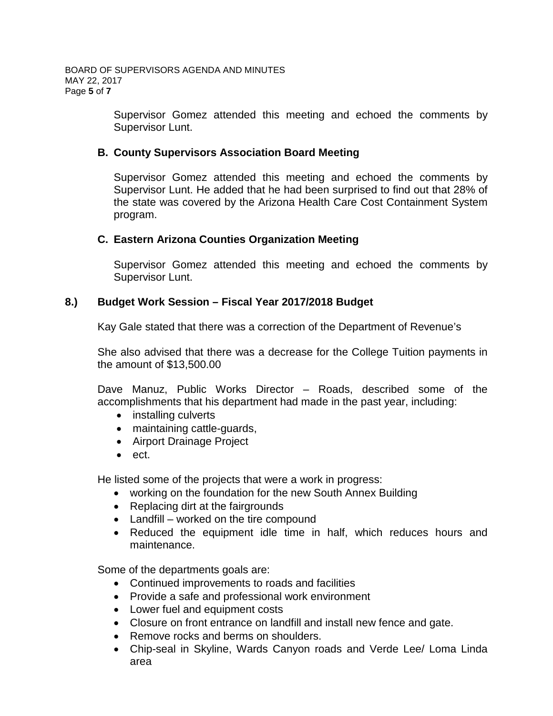Supervisor Gomez attended this meeting and echoed the comments by Supervisor Lunt.

## **B. County Supervisors Association Board Meeting**

Supervisor Gomez attended this meeting and echoed the comments by Supervisor Lunt. He added that he had been surprised to find out that 28% of the state was covered by the Arizona Health Care Cost Containment System program.

### **C. Eastern Arizona Counties Organization Meeting**

Supervisor Gomez attended this meeting and echoed the comments by Supervisor Lunt.

### **8.) Budget Work Session – Fiscal Year 2017/2018 Budget**

Kay Gale stated that there was a correction of the Department of Revenue's

She also advised that there was a decrease for the College Tuition payments in the amount of \$13,500.00

Dave Manuz, Public Works Director – Roads, described some of the accomplishments that his department had made in the past year, including:

- installing culverts
- maintaining cattle-guards,
- Airport Drainage Project
- ect.

He listed some of the projects that were a work in progress:

- working on the foundation for the new South Annex Building
- Replacing dirt at the fairgrounds
- Landfill worked on the tire compound
- Reduced the equipment idle time in half, which reduces hours and maintenance.

Some of the departments goals are:

- Continued improvements to roads and facilities
- Provide a safe and professional work environment
- Lower fuel and equipment costs
- Closure on front entrance on landfill and install new fence and gate.
- Remove rocks and berms on shoulders.
- Chip-seal in Skyline, Wards Canyon roads and Verde Lee/ Loma Linda area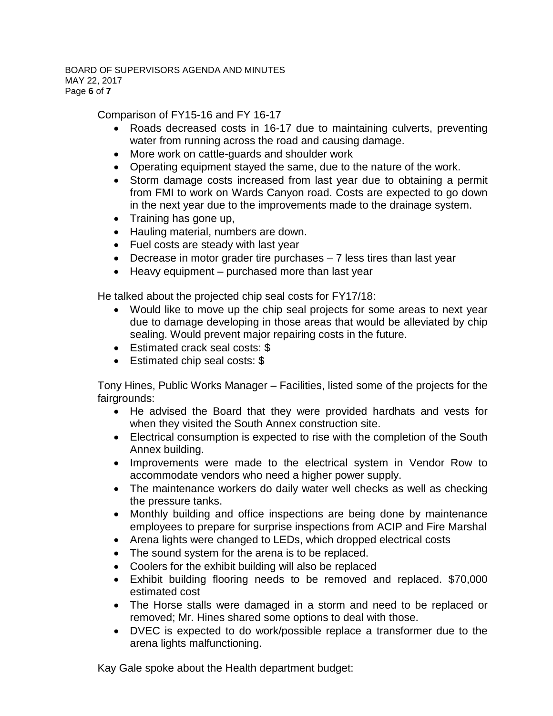#### BOARD OF SUPERVISORS AGENDA AND MINUTES MAY 22, 2017 Page **6** of **7**

Comparison of FY15-16 and FY 16-17

- Roads decreased costs in 16-17 due to maintaining culverts, preventing water from running across the road and causing damage.
- More work on cattle-guards and shoulder work
- Operating equipment stayed the same, due to the nature of the work.
- Storm damage costs increased from last year due to obtaining a permit from FMI to work on Wards Canyon road. Costs are expected to go down in the next year due to the improvements made to the drainage system.
- Training has gone up,
- Hauling material, numbers are down.
- Fuel costs are steady with last year
- Decrease in motor grader tire purchases 7 less tires than last year
- Heavy equipment purchased more than last year

He talked about the projected chip seal costs for FY17/18:

- Would like to move up the chip seal projects for some areas to next year due to damage developing in those areas that would be alleviated by chip sealing. Would prevent major repairing costs in the future.
- Estimated crack seal costs: \$
- Estimated chip seal costs: \$

Tony Hines, Public Works Manager – Facilities, listed some of the projects for the fairgrounds:

- He advised the Board that they were provided hardhats and vests for when they visited the South Annex construction site.
- Electrical consumption is expected to rise with the completion of the South Annex building.
- Improvements were made to the electrical system in Vendor Row to accommodate vendors who need a higher power supply.
- The maintenance workers do daily water well checks as well as checking the pressure tanks.
- Monthly building and office inspections are being done by maintenance employees to prepare for surprise inspections from ACIP and Fire Marshal
- Arena lights were changed to LEDs, which dropped electrical costs
- The sound system for the arena is to be replaced.
- Coolers for the exhibit building will also be replaced
- Exhibit building flooring needs to be removed and replaced. \$70,000 estimated cost
- The Horse stalls were damaged in a storm and need to be replaced or removed; Mr. Hines shared some options to deal with those.
- DVEC is expected to do work/possible replace a transformer due to the arena lights malfunctioning.

Kay Gale spoke about the Health department budget: